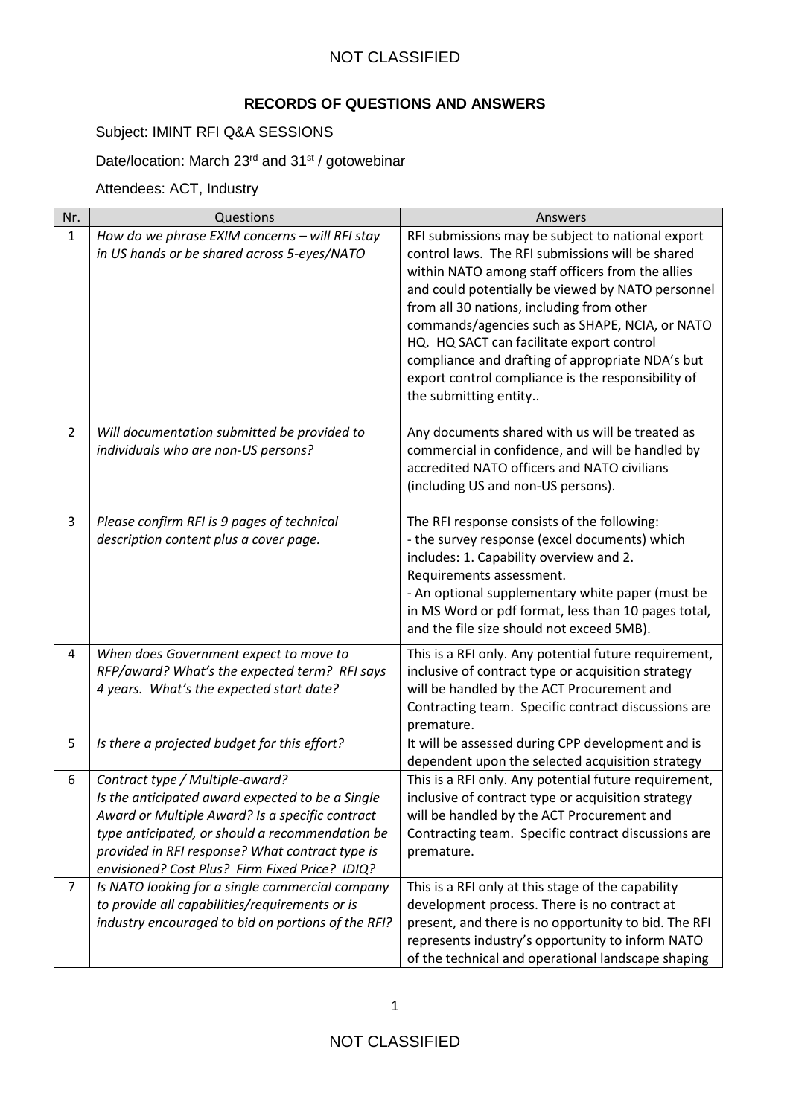### NOT CLASSIFIED

#### **RECORDS OF QUESTIONS AND ANSWERS**

### Subject: IMINT RFI Q&A SESSIONS

Date/location: March 23<sup>rd</sup> and 31<sup>st</sup> / gotowebinar

Attendees: ACT, Industry

| Nr.            | Questions                                                                                                                                                                                                                                                                                      | Answers                                                                                                                                                                                                                                                                                                                                                                                                                                                                                       |
|----------------|------------------------------------------------------------------------------------------------------------------------------------------------------------------------------------------------------------------------------------------------------------------------------------------------|-----------------------------------------------------------------------------------------------------------------------------------------------------------------------------------------------------------------------------------------------------------------------------------------------------------------------------------------------------------------------------------------------------------------------------------------------------------------------------------------------|
| $\mathbf{1}$   | How do we phrase EXIM concerns - will RFI stay<br>in US hands or be shared across 5-eyes/NATO                                                                                                                                                                                                  | RFI submissions may be subject to national export<br>control laws. The RFI submissions will be shared<br>within NATO among staff officers from the allies<br>and could potentially be viewed by NATO personnel<br>from all 30 nations, including from other<br>commands/agencies such as SHAPE, NCIA, or NATO<br>HQ. HQ SACT can facilitate export control<br>compliance and drafting of appropriate NDA's but<br>export control compliance is the responsibility of<br>the submitting entity |
| $\overline{2}$ | Will documentation submitted be provided to<br>individuals who are non-US persons?                                                                                                                                                                                                             | Any documents shared with us will be treated as<br>commercial in confidence, and will be handled by<br>accredited NATO officers and NATO civilians<br>(including US and non-US persons).                                                                                                                                                                                                                                                                                                      |
| 3              | Please confirm RFI is 9 pages of technical<br>description content plus a cover page.                                                                                                                                                                                                           | The RFI response consists of the following:<br>- the survey response (excel documents) which<br>includes: 1. Capability overview and 2.<br>Requirements assessment.<br>- An optional supplementary white paper (must be<br>in MS Word or pdf format, less than 10 pages total,<br>and the file size should not exceed 5MB).                                                                                                                                                                   |
| 4              | When does Government expect to move to<br>RFP/award? What's the expected term? RFI says<br>4 years. What's the expected start date?                                                                                                                                                            | This is a RFI only. Any potential future requirement,<br>inclusive of contract type or acquisition strategy<br>will be handled by the ACT Procurement and<br>Contracting team. Specific contract discussions are<br>premature.                                                                                                                                                                                                                                                                |
| 5              | Is there a projected budget for this effort?                                                                                                                                                                                                                                                   | It will be assessed during CPP development and is<br>dependent upon the selected acquisition strategy                                                                                                                                                                                                                                                                                                                                                                                         |
| 6              | Contract type / Multiple-award?<br>Is the anticipated award expected to be a Single<br>Award or Multiple Award? Is a specific contract<br>type anticipated, or should a recommendation be<br>provided in RFI response? What contract type is<br>envisioned? Cost Plus? Firm Fixed Price? IDIQ? | This is a RFI only. Any potential future requirement,<br>inclusive of contract type or acquisition strategy<br>will be handled by the ACT Procurement and<br>Contracting team. Specific contract discussions are<br>premature.                                                                                                                                                                                                                                                                |
| $\overline{7}$ | Is NATO looking for a single commercial company<br>to provide all capabilities/requirements or is<br>industry encouraged to bid on portions of the RFI?                                                                                                                                        | This is a RFI only at this stage of the capability<br>development process. There is no contract at<br>present, and there is no opportunity to bid. The RFI<br>represents industry's opportunity to inform NATO<br>of the technical and operational landscape shaping                                                                                                                                                                                                                          |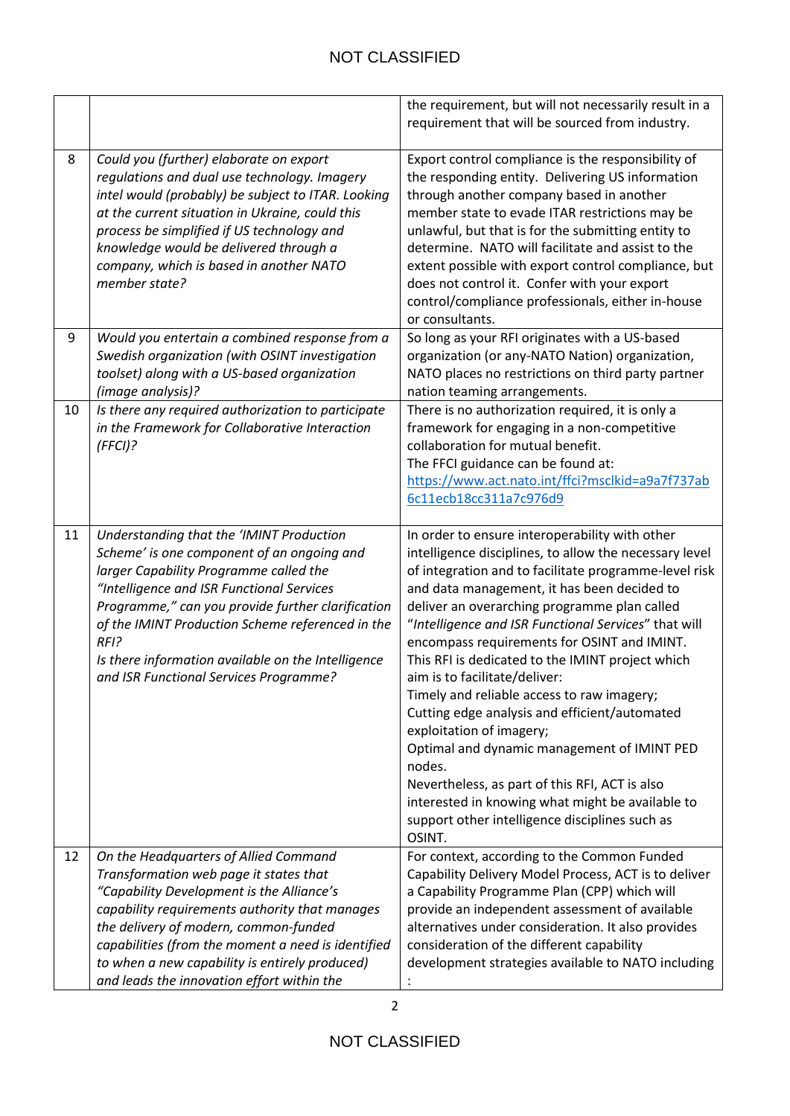# NOT CLASSIFIED

|    |                                                                                                                                                                                                                                                                                                                                                                                                   | the requirement, but will not necessarily result in a<br>requirement that will be sourced from industry.                                                                                                                                                                                                                                                                                                                                                                                                                                                                                                                                                                                                                                                                                                           |
|----|---------------------------------------------------------------------------------------------------------------------------------------------------------------------------------------------------------------------------------------------------------------------------------------------------------------------------------------------------------------------------------------------------|--------------------------------------------------------------------------------------------------------------------------------------------------------------------------------------------------------------------------------------------------------------------------------------------------------------------------------------------------------------------------------------------------------------------------------------------------------------------------------------------------------------------------------------------------------------------------------------------------------------------------------------------------------------------------------------------------------------------------------------------------------------------------------------------------------------------|
| 8  | Could you (further) elaborate on export<br>regulations and dual use technology. Imagery<br>intel would (probably) be subject to ITAR. Looking<br>at the current situation in Ukraine, could this<br>process be simplified if US technology and<br>knowledge would be delivered through a<br>company, which is based in another NATO<br>member state?                                              | Export control compliance is the responsibility of<br>the responding entity. Delivering US information<br>through another company based in another<br>member state to evade ITAR restrictions may be<br>unlawful, but that is for the submitting entity to<br>determine. NATO will facilitate and assist to the<br>extent possible with export control compliance, but<br>does not control it. Confer with your export<br>control/compliance professionals, either in-house<br>or consultants.                                                                                                                                                                                                                                                                                                                     |
| 9  | Would you entertain a combined response from a<br>Swedish organization (with OSINT investigation<br>toolset) along with a US-based organization<br>(image analysis)?                                                                                                                                                                                                                              | So long as your RFI originates with a US-based<br>organization (or any-NATO Nation) organization,<br>NATO places no restrictions on third party partner<br>nation teaming arrangements.                                                                                                                                                                                                                                                                                                                                                                                                                                                                                                                                                                                                                            |
| 10 | Is there any required authorization to participate<br>in the Framework for Collaborative Interaction<br>$(FFCI)$ ?                                                                                                                                                                                                                                                                                | There is no authorization required, it is only a<br>framework for engaging in a non-competitive<br>collaboration for mutual benefit.<br>The FFCI guidance can be found at:<br>https://www.act.nato.int/ffci?msclkid=a9a7f737ab<br>6c11ecb18cc311a7c976d9                                                                                                                                                                                                                                                                                                                                                                                                                                                                                                                                                           |
| 11 | Understanding that the 'IMINT Production<br>Scheme' is one component of an ongoing and<br>larger Capability Programme called the<br>"Intelligence and ISR Functional Services<br>Programme," can you provide further clarification<br>of the IMINT Production Scheme referenced in the<br>$RFI$ ?<br>Is there information available on the Intelligence<br>and ISR Functional Services Programme? | In order to ensure interoperability with other<br>intelligence disciplines, to allow the necessary level<br>of integration and to facilitate programme-level risk<br>and data management, it has been decided to<br>deliver an overarching programme plan called<br>"Intelligence and ISR Functional Services" that will<br>encompass requirements for OSINT and IMINT.<br>This RFI is dedicated to the IMINT project which<br>aim is to facilitate/deliver:<br>Timely and reliable access to raw imagery;<br>Cutting edge analysis and efficient/automated<br>exploitation of imagery;<br>Optimal and dynamic management of IMINT PED<br>nodes.<br>Nevertheless, as part of this RFI, ACT is also<br>interested in knowing what might be available to<br>support other intelligence disciplines such as<br>OSINT. |
| 12 | On the Headquarters of Allied Command<br>Transformation web page it states that<br>"Capability Development is the Alliance's<br>capability requirements authority that manages<br>the delivery of modern, common-funded<br>capabilities (from the moment a need is identified<br>to when a new capability is entirely produced)<br>and leads the innovation effort within the                     | For context, according to the Common Funded<br>Capability Delivery Model Process, ACT is to deliver<br>a Capability Programme Plan (CPP) which will<br>provide an independent assessment of available<br>alternatives under consideration. It also provides<br>consideration of the different capability<br>development strategies available to NATO including                                                                                                                                                                                                                                                                                                                                                                                                                                                     |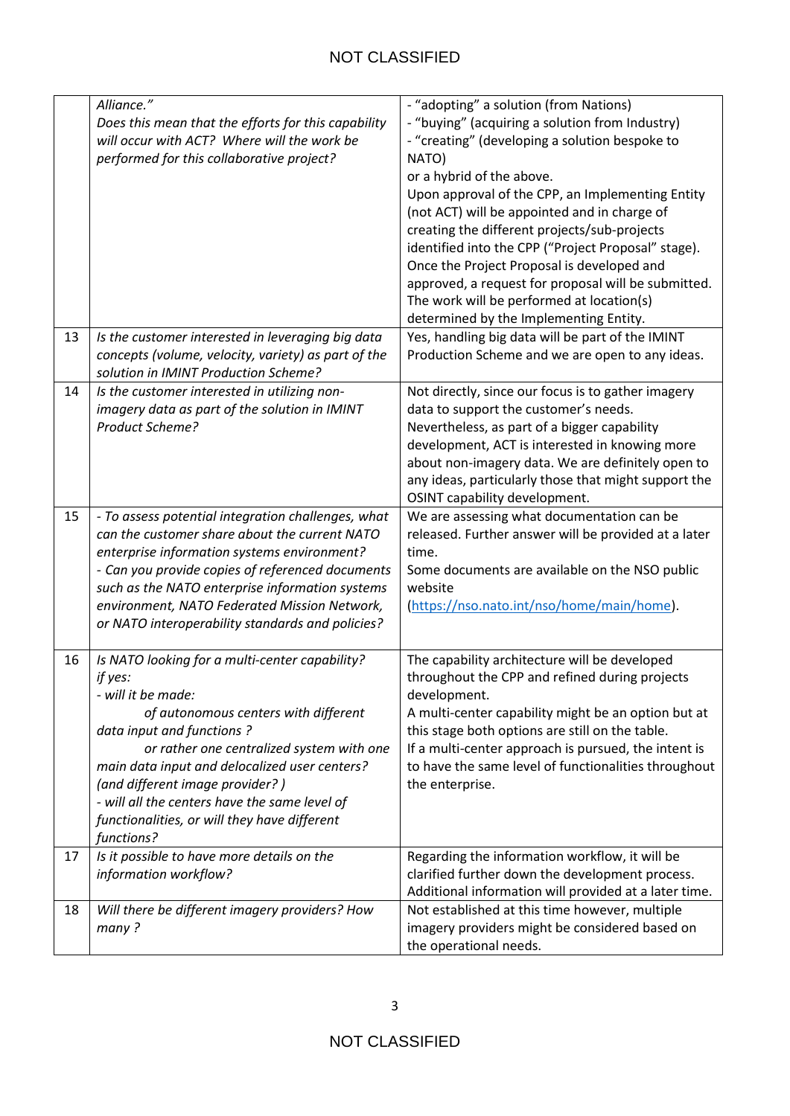|    | Alliance."                                                                                          | - "adopting" a solution (from Nations)                |
|----|-----------------------------------------------------------------------------------------------------|-------------------------------------------------------|
|    | Does this mean that the efforts for this capability                                                 | - "buying" (acquiring a solution from Industry)       |
|    | will occur with ACT? Where will the work be                                                         | - "creating" (developing a solution bespoke to        |
|    | performed for this collaborative project?                                                           | NATO)                                                 |
|    |                                                                                                     | or a hybrid of the above.                             |
|    |                                                                                                     | Upon approval of the CPP, an Implementing Entity      |
|    |                                                                                                     | (not ACT) will be appointed and in charge of          |
|    |                                                                                                     | creating the different projects/sub-projects          |
|    |                                                                                                     | identified into the CPP ("Project Proposal" stage).   |
|    |                                                                                                     | Once the Project Proposal is developed and            |
|    |                                                                                                     | approved, a request for proposal will be submitted.   |
|    |                                                                                                     | The work will be performed at location(s)             |
|    |                                                                                                     |                                                       |
|    |                                                                                                     | determined by the Implementing Entity.                |
| 13 | Is the customer interested in leveraging big data                                                   | Yes, handling big data will be part of the IMINT      |
|    | concepts (volume, velocity, variety) as part of the                                                 | Production Scheme and we are open to any ideas.       |
|    | solution in IMINT Production Scheme?                                                                |                                                       |
| 14 | Is the customer interested in utilizing non-                                                        | Not directly, since our focus is to gather imagery    |
|    | imagery data as part of the solution in IMINT<br>Product Scheme?                                    | data to support the customer's needs.                 |
|    |                                                                                                     | Nevertheless, as part of a bigger capability          |
|    |                                                                                                     | development, ACT is interested in knowing more        |
|    |                                                                                                     | about non-imagery data. We are definitely open to     |
|    |                                                                                                     | any ideas, particularly those that might support the  |
|    |                                                                                                     | OSINT capability development.                         |
| 15 | - To assess potential integration challenges, what<br>can the customer share about the current NATO | We are assessing what documentation can be            |
|    |                                                                                                     | released. Further answer will be provided at a later  |
|    | enterprise information systems environment?                                                         | time.                                                 |
|    | - Can you provide copies of referenced documents                                                    | Some documents are available on the NSO public        |
|    | such as the NATO enterprise information systems                                                     | website                                               |
|    | environment, NATO Federated Mission Network,                                                        | (https://nso.nato.int/nso/home/main/home).            |
|    | or NATO interoperability standards and policies?                                                    |                                                       |
| 16 | Is NATO looking for a multi-center capability?                                                      | The capability architecture will be developed         |
|    | if yes:                                                                                             | throughout the CPP and refined during projects        |
|    | - will it be made:                                                                                  | development.                                          |
|    | of autonomous centers with different                                                                | A multi-center capability might be an option but at   |
|    | data input and functions?                                                                           | this stage both options are still on the table.       |
|    | or rather one centralized system with one                                                           | If a multi-center approach is pursued, the intent is  |
|    | main data input and delocalized user centers?                                                       | to have the same level of functionalities throughout  |
|    | (and different image provider?)                                                                     | the enterprise.                                       |
|    | - will all the centers have the same level of                                                       |                                                       |
|    | functionalities, or will they have different                                                        |                                                       |
|    | functions?                                                                                          |                                                       |
| 17 | Is it possible to have more details on the                                                          | Regarding the information workflow, it will be        |
|    | information workflow?                                                                               | clarified further down the development process.       |
|    |                                                                                                     | Additional information will provided at a later time. |
| 18 | Will there be different imagery providers? How                                                      | Not established at this time however, multiple        |
|    | many?                                                                                               | imagery providers might be considered based on        |
|    |                                                                                                     | the operational needs.                                |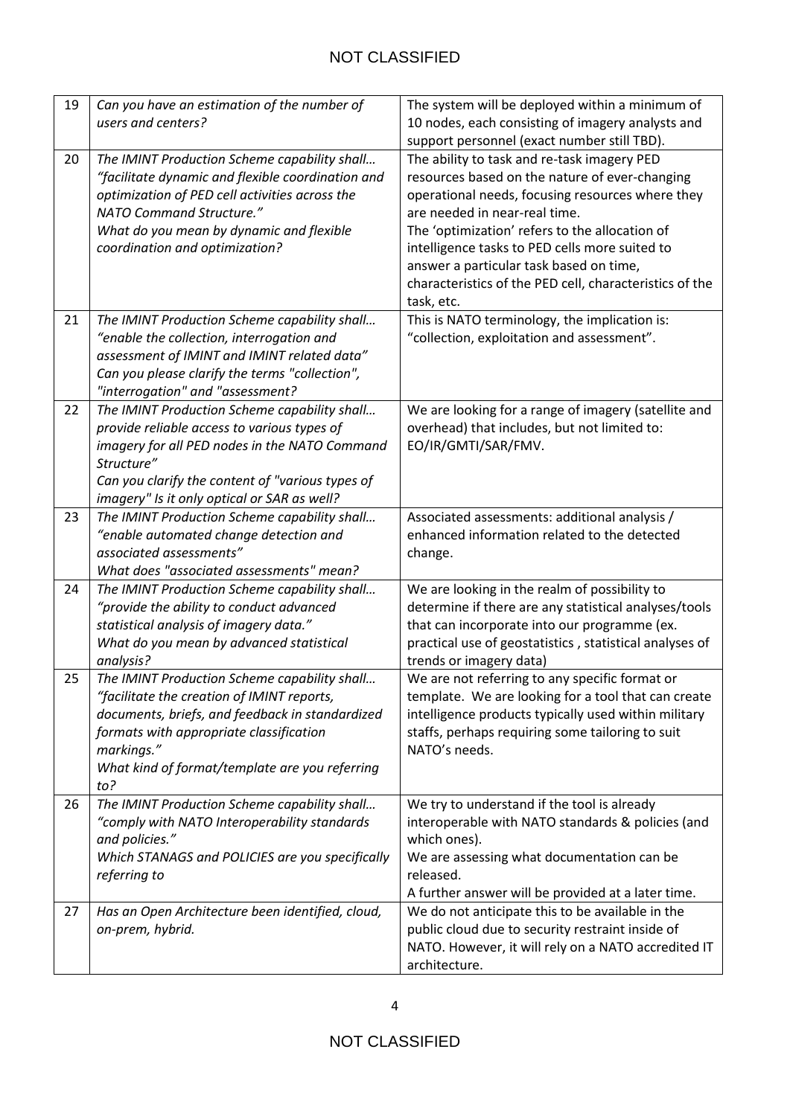| 19 | Can you have an estimation of the number of<br>users and centers?                        | The system will be deployed within a minimum of<br>10 nodes, each consisting of imagery analysts and   |
|----|------------------------------------------------------------------------------------------|--------------------------------------------------------------------------------------------------------|
|    |                                                                                          | support personnel (exact number still TBD).                                                            |
| 20 | The IMINT Production Scheme capability shall                                             | The ability to task and re-task imagery PED                                                            |
|    | "facilitate dynamic and flexible coordination and                                        | resources based on the nature of ever-changing                                                         |
|    | optimization of PED cell activities across the                                           | operational needs, focusing resources where they                                                       |
|    | NATO Command Structure."                                                                 | are needed in near-real time.                                                                          |
|    | What do you mean by dynamic and flexible                                                 | The 'optimization' refers to the allocation of                                                         |
|    | coordination and optimization?                                                           | intelligence tasks to PED cells more suited to                                                         |
|    |                                                                                          | answer a particular task based on time,                                                                |
|    |                                                                                          | characteristics of the PED cell, characteristics of the                                                |
|    |                                                                                          | task, etc.                                                                                             |
| 21 | The IMINT Production Scheme capability shall                                             | This is NATO terminology, the implication is:                                                          |
|    | "enable the collection, interrogation and                                                | "collection, exploitation and assessment".                                                             |
|    | assessment of IMINT and IMINT related data"                                              |                                                                                                        |
|    | Can you please clarify the terms "collection",                                           |                                                                                                        |
|    | "interrogation" and "assessment?                                                         |                                                                                                        |
| 22 | The IMINT Production Scheme capability shall                                             | We are looking for a range of imagery (satellite and                                                   |
|    | provide reliable access to various types of                                              | overhead) that includes, but not limited to:                                                           |
|    | imagery for all PED nodes in the NATO Command                                            | EO/IR/GMTI/SAR/FMV.                                                                                    |
|    | Structure"                                                                               |                                                                                                        |
|    | Can you clarify the content of "various types of                                         |                                                                                                        |
|    | imagery" Is it only optical or SAR as well?                                              |                                                                                                        |
| 23 | The IMINT Production Scheme capability shall                                             | Associated assessments: additional analysis /                                                          |
|    | "enable automated change detection and                                                   | enhanced information related to the detected                                                           |
|    | associated assessments"                                                                  | change.                                                                                                |
| 24 | What does "associated assessments" mean?                                                 |                                                                                                        |
|    | The IMINT Production Scheme capability shall<br>"provide the ability to conduct advanced | We are looking in the realm of possibility to<br>determine if there are any statistical analyses/tools |
|    | statistical analysis of imagery data."                                                   | that can incorporate into our programme (ex.                                                           |
|    | What do you mean by advanced statistical                                                 | practical use of geostatistics, statistical analyses of                                                |
|    | analysis?                                                                                | trends or imagery data)                                                                                |
| 25 | The IMINT Production Scheme capability shall                                             | We are not referring to any specific format or                                                         |
|    | "facilitate the creation of IMINT reports,                                               | template. We are looking for a tool that can create                                                    |
|    | documents, briefs, and feedback in standardized                                          | intelligence products typically used within military                                                   |
|    | formats with appropriate classification                                                  | staffs, perhaps requiring some tailoring to suit                                                       |
|    | markings."                                                                               | NATO's needs.                                                                                          |
|    | What kind of format/template are you referring                                           |                                                                                                        |
|    | to?                                                                                      |                                                                                                        |
| 26 | The IMINT Production Scheme capability shall                                             | We try to understand if the tool is already                                                            |
|    | "comply with NATO Interoperability standards                                             | interoperable with NATO standards & policies (and                                                      |
|    | and policies."                                                                           | which ones).                                                                                           |
|    | Which STANAGS and POLICIES are you specifically                                          | We are assessing what documentation can be                                                             |
|    | referring to                                                                             | released.                                                                                              |
|    |                                                                                          | A further answer will be provided at a later time.                                                     |
| 27 | Has an Open Architecture been identified, cloud,                                         | We do not anticipate this to be available in the                                                       |
|    | on-prem, hybrid.                                                                         | public cloud due to security restraint inside of                                                       |
|    |                                                                                          | NATO. However, it will rely on a NATO accredited IT                                                    |
|    |                                                                                          | architecture.                                                                                          |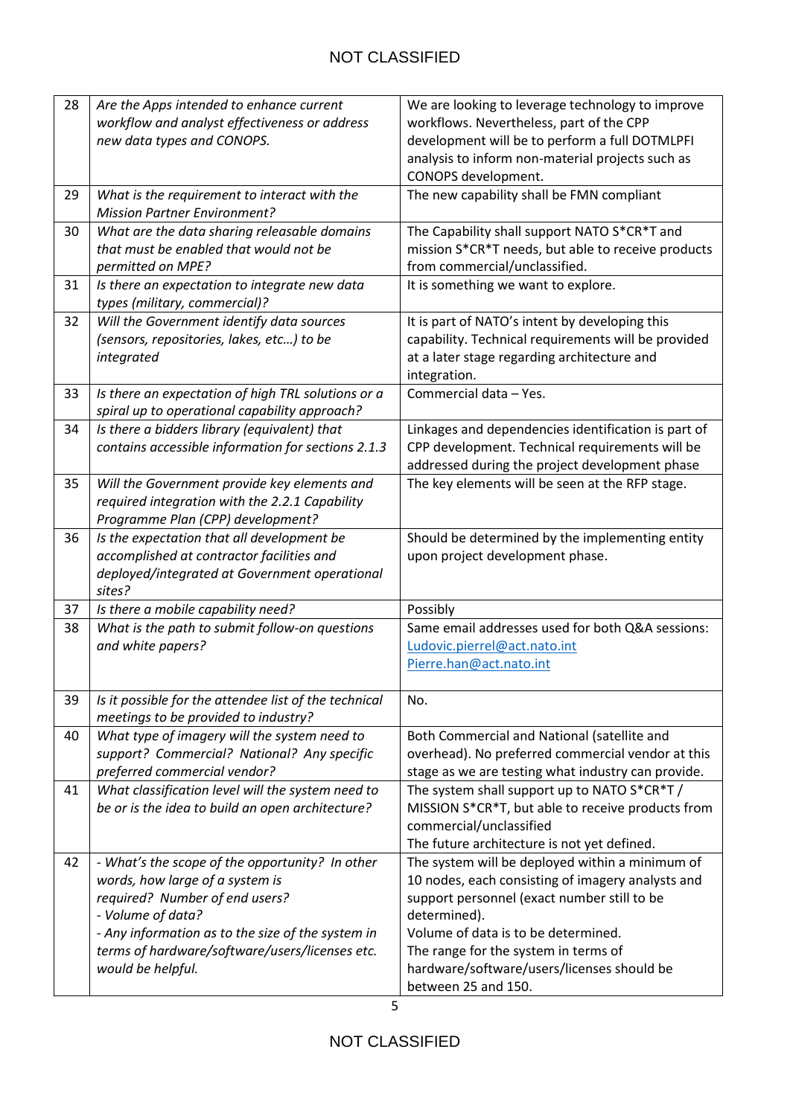| 28 | Are the Apps intended to enhance current              | We are looking to leverage technology to improve    |
|----|-------------------------------------------------------|-----------------------------------------------------|
|    | workflow and analyst effectiveness or address         | workflows. Nevertheless, part of the CPP            |
|    | new data types and CONOPS.                            | development will be to perform a full DOTMLPFI      |
|    |                                                       | analysis to inform non-material projects such as    |
|    |                                                       | CONOPS development.                                 |
| 29 | What is the requirement to interact with the          | The new capability shall be FMN compliant           |
|    | <b>Mission Partner Environment?</b>                   |                                                     |
| 30 | What are the data sharing releasable domains          | The Capability shall support NATO S*CR*T and        |
|    | that must be enabled that would not be                | mission S*CR*T needs, but able to receive products  |
|    | permitted on MPE?                                     | from commercial/unclassified.                       |
| 31 | Is there an expectation to integrate new data         | It is something we want to explore.                 |
|    | types (military, commercial)?                         |                                                     |
| 32 | Will the Government identify data sources             | It is part of NATO's intent by developing this      |
|    | (sensors, repositories, lakes, etc) to be             | capability. Technical requirements will be provided |
|    | integrated                                            | at a later stage regarding architecture and         |
|    |                                                       | integration.                                        |
| 33 | Is there an expectation of high TRL solutions or a    | Commercial data - Yes.                              |
|    | spiral up to operational capability approach?         |                                                     |
| 34 | Is there a bidders library (equivalent) that          | Linkages and dependencies identification is part of |
|    | contains accessible information for sections 2.1.3    | CPP development. Technical requirements will be     |
|    |                                                       | addressed during the project development phase      |
| 35 | Will the Government provide key elements and          | The key elements will be seen at the RFP stage.     |
|    | required integration with the 2.2.1 Capability        |                                                     |
|    | Programme Plan (CPP) development?                     |                                                     |
| 36 | Is the expectation that all development be            | Should be determined by the implementing entity     |
|    | accomplished at contractor facilities and             | upon project development phase.                     |
|    | deployed/integrated at Government operational         |                                                     |
|    | sites?                                                |                                                     |
| 37 | Is there a mobile capability need?                    | Possibly                                            |
| 38 | What is the path to submit follow-on questions        | Same email addresses used for both Q&A sessions:    |
|    | and white papers?                                     | Ludovic.pierrel@act.nato.int                        |
|    |                                                       | Pierre.han@act.nato.int                             |
| 39 | Is it possible for the attendee list of the technical | No.                                                 |
|    | meetings to be provided to industry?                  |                                                     |
| 40 | What type of imagery will the system need to          | Both Commercial and National (satellite and         |
|    | support? Commercial? National? Any specific           | overhead). No preferred commercial vendor at this   |
|    | preferred commercial vendor?                          | stage as we are testing what industry can provide.  |
| 41 | What classification level will the system need to     | The system shall support up to NATO S*CR*T/         |
|    | be or is the idea to build an open architecture?      | MISSION S*CR*T, but able to receive products from   |
|    |                                                       | commercial/unclassified                             |
|    |                                                       | The future architecture is not yet defined.         |
| 42 | - What's the scope of the opportunity? In other       | The system will be deployed within a minimum of     |
|    | words, how large of a system is                       | 10 nodes, each consisting of imagery analysts and   |
|    | required? Number of end users?                        | support personnel (exact number still to be         |
|    | - Volume of data?                                     | determined).                                        |
|    | - Any information as to the size of the system in     | Volume of data is to be determined.                 |
|    | terms of hardware/software/users/licenses etc.        | The range for the system in terms of                |
|    | would be helpful.                                     | hardware/software/users/licenses should be          |
|    |                                                       | between 25 and 150.                                 |

5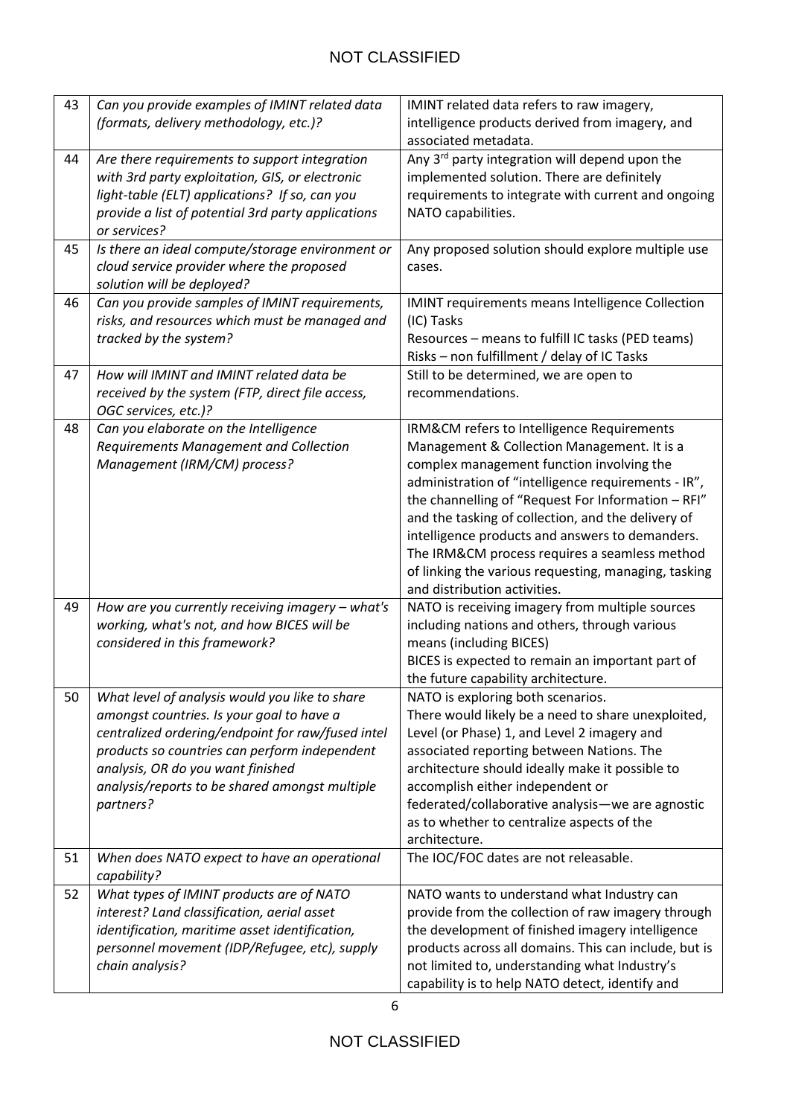| 43 | Can you provide examples of IMINT related data                                                                                                                                                                                                                                                        | IMINT related data refers to raw imagery,                                                                                                                                                                                                                                                                                                                                                                                                                                                             |
|----|-------------------------------------------------------------------------------------------------------------------------------------------------------------------------------------------------------------------------------------------------------------------------------------------------------|-------------------------------------------------------------------------------------------------------------------------------------------------------------------------------------------------------------------------------------------------------------------------------------------------------------------------------------------------------------------------------------------------------------------------------------------------------------------------------------------------------|
|    | (formats, delivery methodology, etc.)?                                                                                                                                                                                                                                                                | intelligence products derived from imagery, and<br>associated metadata.                                                                                                                                                                                                                                                                                                                                                                                                                               |
| 44 | Are there requirements to support integration<br>with 3rd party exploitation, GIS, or electronic<br>light-table (ELT) applications? If so, can you<br>provide a list of potential 3rd party applications<br>or services?                                                                              | Any 3rd party integration will depend upon the<br>implemented solution. There are definitely<br>requirements to integrate with current and ongoing<br>NATO capabilities.                                                                                                                                                                                                                                                                                                                              |
| 45 | Is there an ideal compute/storage environment or<br>cloud service provider where the proposed<br>solution will be deployed?                                                                                                                                                                           | Any proposed solution should explore multiple use<br>cases.                                                                                                                                                                                                                                                                                                                                                                                                                                           |
| 46 | Can you provide samples of IMINT requirements,<br>risks, and resources which must be managed and<br>tracked by the system?                                                                                                                                                                            | IMINT requirements means Intelligence Collection<br>(IC) Tasks<br>Resources - means to fulfill IC tasks (PED teams)<br>Risks - non fulfillment / delay of IC Tasks                                                                                                                                                                                                                                                                                                                                    |
| 47 | How will IMINT and IMINT related data be<br>received by the system (FTP, direct file access,<br>OGC services, etc.)?                                                                                                                                                                                  | Still to be determined, we are open to<br>recommendations.                                                                                                                                                                                                                                                                                                                                                                                                                                            |
| 48 | Can you elaborate on the Intelligence<br>Requirements Management and Collection<br>Management (IRM/CM) process?                                                                                                                                                                                       | IRM&CM refers to Intelligence Requirements<br>Management & Collection Management. It is a<br>complex management function involving the<br>administration of "intelligence requirements - IR",<br>the channelling of "Request For Information - RFI"<br>and the tasking of collection, and the delivery of<br>intelligence products and answers to demanders.<br>The IRM&CM process requires a seamless method<br>of linking the various requesting, managing, tasking<br>and distribution activities. |
| 49 | How are you currently receiving imagery - what's<br>working, what's not, and how BICES will be<br>considered in this framework?                                                                                                                                                                       | NATO is receiving imagery from multiple sources<br>including nations and others, through various<br>means (including BICES)<br>BICES is expected to remain an important part of<br>the future capability architecture.                                                                                                                                                                                                                                                                                |
| 50 | What level of analysis would you like to share<br>amongst countries. Is your goal to have a<br>centralized ordering/endpoint for raw/fused intel<br>products so countries can perform independent<br>analysis, OR do you want finished<br>analysis/reports to be shared amongst multiple<br>partners? | NATO is exploring both scenarios.<br>There would likely be a need to share unexploited,<br>Level (or Phase) 1, and Level 2 imagery and<br>associated reporting between Nations. The<br>architecture should ideally make it possible to<br>accomplish either independent or<br>federated/collaborative analysis-we are agnostic<br>as to whether to centralize aspects of the<br>architecture.                                                                                                         |
| 51 | When does NATO expect to have an operational<br>capability?                                                                                                                                                                                                                                           | The IOC/FOC dates are not releasable.                                                                                                                                                                                                                                                                                                                                                                                                                                                                 |
| 52 | What types of IMINT products are of NATO<br>interest? Land classification, aerial asset<br>identification, maritime asset identification,<br>personnel movement (IDP/Refugee, etc), supply<br>chain analysis?                                                                                         | NATO wants to understand what Industry can<br>provide from the collection of raw imagery through<br>the development of finished imagery intelligence<br>products across all domains. This can include, but is<br>not limited to, understanding what Industry's<br>capability is to help NATO detect, identify and                                                                                                                                                                                     |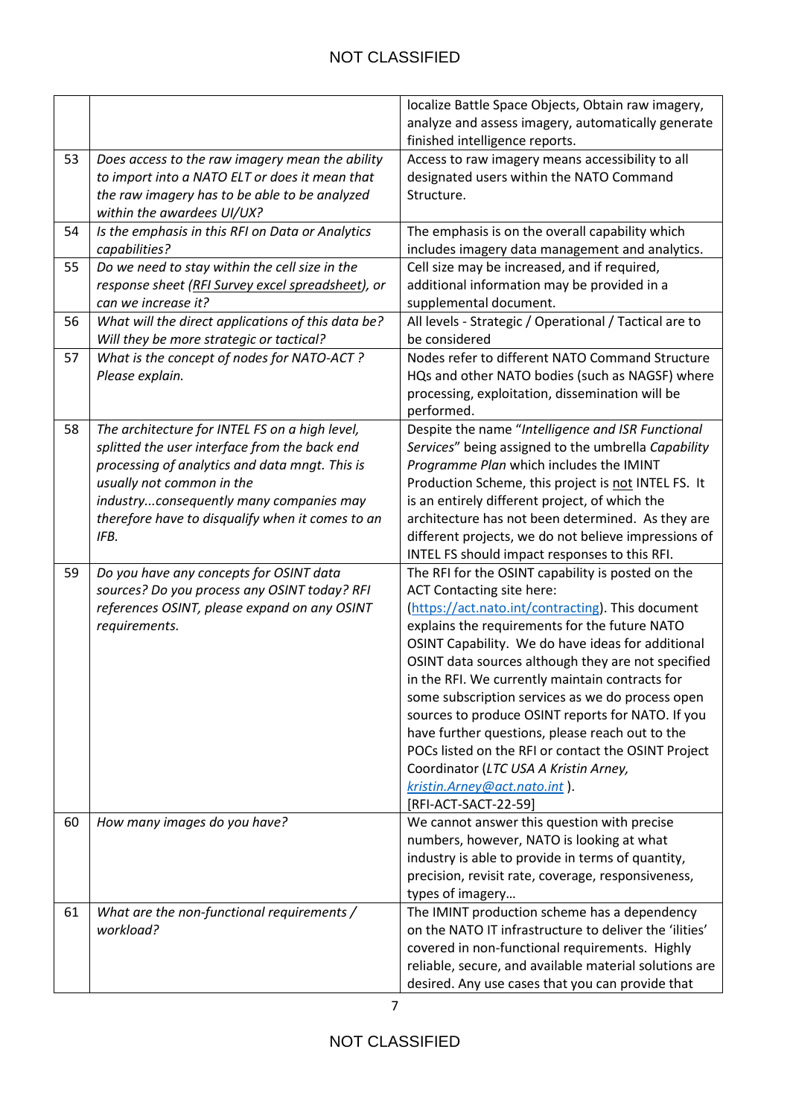|    |                                                    | localize Battle Space Objects, Obtain raw imagery,     |
|----|----------------------------------------------------|--------------------------------------------------------|
|    |                                                    | analyze and assess imagery, automatically generate     |
|    |                                                    | finished intelligence reports.                         |
| 53 | Does access to the raw imagery mean the ability    | Access to raw imagery means accessibility to all       |
|    | to import into a NATO ELT or does it mean that     | designated users within the NATO Command               |
|    | the raw imagery has to be able to be analyzed      | Structure.                                             |
|    | within the awardees UI/UX?                         |                                                        |
| 54 | Is the emphasis in this RFI on Data or Analytics   | The emphasis is on the overall capability which        |
|    | capabilities?                                      | includes imagery data management and analytics.        |
| 55 | Do we need to stay within the cell size in the     | Cell size may be increased, and if required,           |
|    | response sheet (RFI Survey excel spreadsheet), or  | additional information may be provided in a            |
|    | can we increase it?                                | supplemental document.                                 |
| 56 | What will the direct applications of this data be? | All levels - Strategic / Operational / Tactical are to |
|    | Will they be more strategic or tactical?           | be considered                                          |
| 57 | What is the concept of nodes for NATO-ACT?         | Nodes refer to different NATO Command Structure        |
|    | Please explain.                                    | HQs and other NATO bodies (such as NAGSF) where        |
|    |                                                    | processing, exploitation, dissemination will be        |
|    |                                                    | performed.                                             |
| 58 | The architecture for INTEL FS on a high level,     | Despite the name "Intelligence and ISR Functional      |
|    | splitted the user interface from the back end      | Services" being assigned to the umbrella Capability    |
|    | processing of analytics and data mngt. This is     | Programme Plan which includes the IMINT                |
|    | usually not common in the                          | Production Scheme, this project is not INTEL FS. It    |
|    | industryconsequently many companies may            | is an entirely different project, of which the         |
|    | therefore have to disqualify when it comes to an   | architecture has not been determined. As they are      |
|    | IFB.                                               | different projects, we do not believe impressions of   |
|    |                                                    | INTEL FS should impact responses to this RFI.          |
| 59 | Do you have any concepts for OSINT data            | The RFI for the OSINT capability is posted on the      |
|    | sources? Do you process any OSINT today? RFI       | ACT Contacting site here:                              |
|    | references OSINT, please expand on any OSINT       | (https://act.nato.int/contracting). This document      |
|    | requirements.                                      | explains the requirements for the future NATO          |
|    |                                                    | OSINT Capability. We do have ideas for additional      |
|    |                                                    | OSINT data sources although they are not specified     |
|    |                                                    | in the RFI. We currently maintain contracts for        |
|    |                                                    | some subscription services as we do process open       |
|    |                                                    | sources to produce OSINT reports for NATO. If you      |
|    |                                                    | have further questions, please reach out to the        |
|    |                                                    | POCs listed on the RFI or contact the OSINT Project    |
|    |                                                    | Coordinator (LTC USA A Kristin Arney,                  |
|    |                                                    | kristin.Arney@act.nato.int).                           |
|    |                                                    | [RFI-ACT-SACT-22-59]                                   |
| 60 | How many images do you have?                       | We cannot answer this question with precise            |
|    |                                                    | numbers, however, NATO is looking at what              |
|    |                                                    | industry is able to provide in terms of quantity,      |
|    |                                                    | precision, revisit rate, coverage, responsiveness,     |
|    |                                                    | types of imagery                                       |
| 61 | What are the non-functional requirements /         | The IMINT production scheme has a dependency           |
|    | workload?                                          | on the NATO IT infrastructure to deliver the 'ilities' |
|    |                                                    | covered in non-functional requirements. Highly         |
|    |                                                    |                                                        |
|    |                                                    | reliable, secure, and available material solutions are |
|    |                                                    | desired. Any use cases that you can provide that       |

7